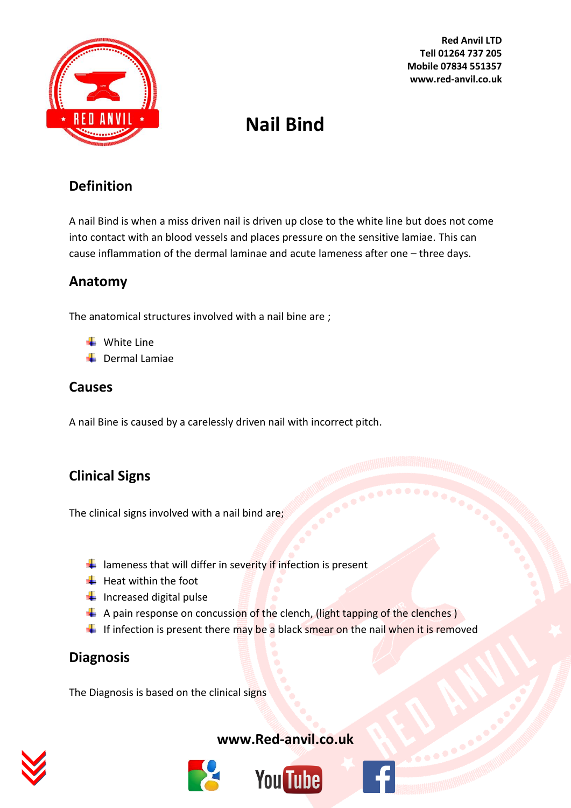

**Red Anvil LTD Tell 01264 737 205 Mobile 07834 551357 www.red-anvil.co.uk**

# **Nail Bind**

## **Definition**

A nail Bind is when a miss driven nail is driven up close to the white line but does not come into contact with an blood vessels and places pressure on the sensitive lamiae. This can cause inflammation of the dermal laminae and acute lameness after one – three days.

## **Anatomy**

The anatomical structures involved with a nail bine are ;

- $\downarrow$  White Line
- $\leftarrow$  Dermal Lamiae

## **Causes**

A nail Bine is caused by a carelessly driven nail with incorrect pitch.

# **Clinical Signs**

The clinical signs involved with a nail bind are;

- $\frac{1}{\sqrt{2}}$  lameness that will differ in severity if infection is present
- $\frac{1}{\sqrt{2}}$  Heat within the foot
- $\frac{1}{\sqrt{2}}$  Increased digital pulse
- $\textcolor{blue}{\textbf{4}}$  A pain response on concussion of the clench, (light tapping of the clenches)
- If infection is present there may be a black smear on the nail when it is removed

## **Diagnosis**

The Diagnosis is based on the clinical signs



## **[www.Red-anvil.co.uk](http://www.red-anvil.co.uk/)**